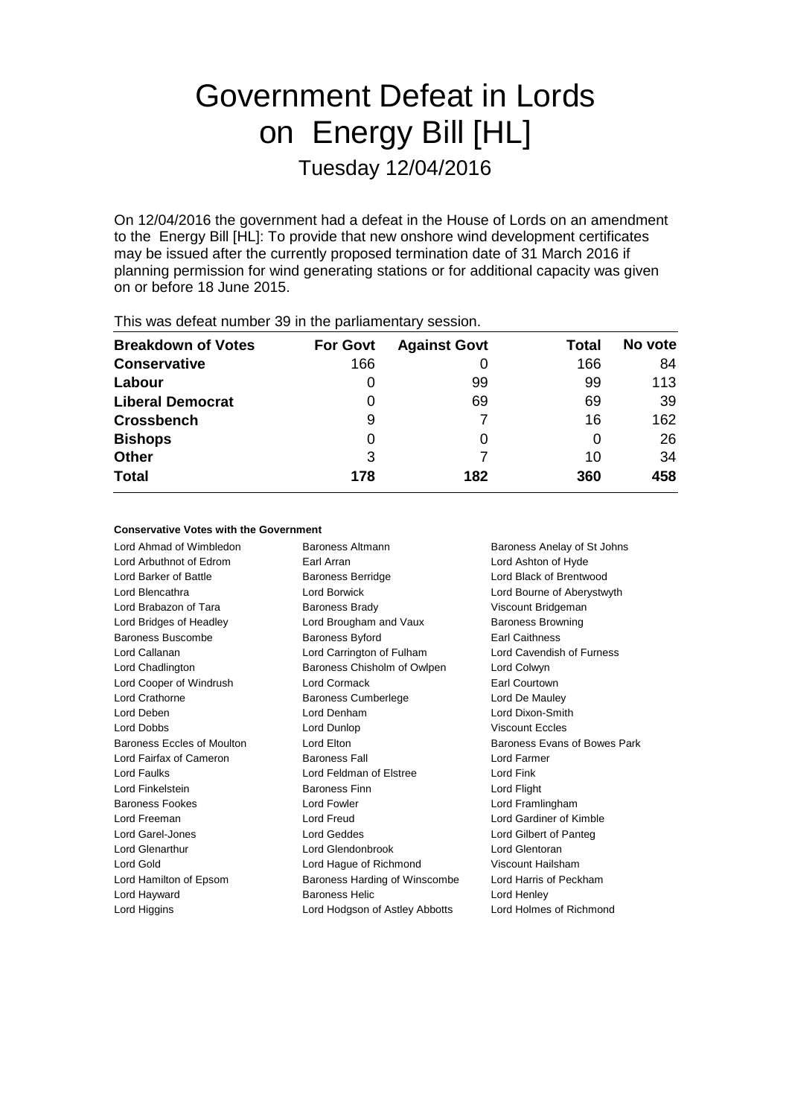# Government Defeat in Lords on Energy Bill [HL] Tuesday 12/04/2016

On 12/04/2016 the government had a defeat in the House of Lords on an amendment to the Energy Bill [HL]: To provide that new onshore wind development certificates may be issued after the currently proposed termination date of 31 March 2016 if planning permission for wind generating stations or for additional capacity was given on or before 18 June 2015.

| $1.110$ $1.000$ and the stationartic and $0.000$ in the position individual proposition. |                 |                     |       |         |  |
|------------------------------------------------------------------------------------------|-----------------|---------------------|-------|---------|--|
| <b>Breakdown of Votes</b>                                                                | <b>For Govt</b> | <b>Against Govt</b> | Total | No vote |  |
| <b>Conservative</b>                                                                      | 166             |                     | 166   | 84      |  |
| Labour                                                                                   |                 | 99                  | 99    | 113     |  |
| <b>Liberal Democrat</b>                                                                  | 0               | 69                  | 69    | 39      |  |
| <b>Crossbench</b>                                                                        | 9               |                     | 16    | 162     |  |
| <b>Bishops</b>                                                                           | 0               |                     | O     | 26      |  |
| <b>Other</b>                                                                             | 3               |                     | 10    | 34      |  |
| <b>Total</b>                                                                             | 178             | 182                 | 360   | 458     |  |
|                                                                                          |                 |                     |       |         |  |

This was defeat number 39 in the parliamentary session.

#### **Conservative Votes with the Government**

Lord Ahmad of Wimbledon Baroness Altmann Baroness Anelay of St Johns Lord Arbuthnot of Edrom Earl Arran Lord Ashton of Hyde Lord Barker of Battle **Barker Baroness Berridge Lord Black of Brentwood** Lord Blencathra Lord Borwick Lord Bourne of Aberystwyth Lord Brabazon of Tara **Baroness Brady Communist Constructs** Viscount Bridgeman Lord Bridges of Headley **Lord Brougham and Vaux** Baroness Browning Baroness Buscombe Baroness Byford **Baroness Buscombe** Baroness Byford **Earl Caithness** Lord Callanan Lord Carrington of Fulham Lord Cavendish of Furness Lord Chadlington Baroness Chisholm of Owlpen Lord Colwyn Lord Cooper of Windrush Lord Cormack Earl Courtown Lord Crathorne **Baroness Cumberlege** Lord De Mauley Lord Deben Lord Denham Lord Dixon-Smith Lord Dobbs Lord Dunlop Viscount Eccles Baroness Eccles of Moulton **Lord Elton Lord Elton** Baroness Evans of Bowes Park Lord Fairfax of Cameron Baroness Fall Lord Farmer Lord Faulks Lord Feldman of Elstree Lord Fink Lord Finkelstein Baroness Finn Lord Flight Baroness Fookes **Lord Fowler** Lord Framlingham Lord Freeman Lord Freud Lord Gardiner of Kimble Lord Garel-Jones Lord Geddes Lord Gilbert of Panteg Lord Glenarthur Lord Glendonbrook Lord Glentoran Lord Gold Lord Hague of Richmond Viscount Hailsham Lord Hamilton of Epsom Baroness Harding of Winscombe Lord Harris of Peckham Lord Hayward Baroness Helic Lord Henley Lord Higgins Lord Hodgson of Astley Abbotts Lord Holmes of Richmond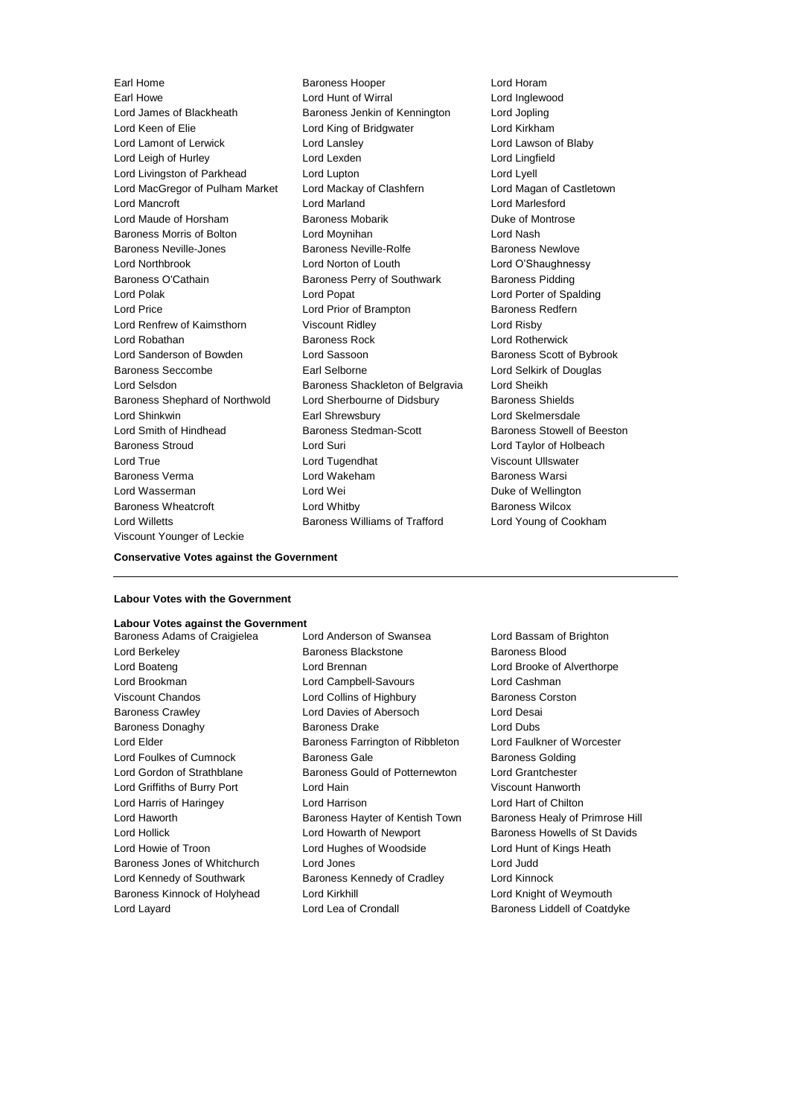Earl Howe Lord Hunt of Wirral Lord Inglewood Lord James of Blackheath Baroness Jenkin of Kennington Lord Jopling Lord Keen of Elie **Lord King of Bridgwater** Lord Kirkham Lord Lamont of Lerwick Lord Lansley Lord Lawson of Blaby Lord Leigh of Hurley Lord Lexden Lord Lingfield Lord Livingston of Parkhead Lord Lupton Lord Lyell Lord MacGregor of Pulham Market Lord Mackay of Clashfern Lord Magan of Castletown Lord Mancroft Lord Marland Lord Marlesford Lord Maude of Horsham Baroness Mobarik Duke of Montrose Baroness Morris of Bolton Lord Moynihan Lord Nash Baroness Neville-Jones **Baroness Neville-Rolfe** Baroness Newlove Lord Northbrook Lord Norton of Louth Lord O'Shaughnessy Baroness O'Cathain **Baroness Perry of Southwark** Baroness Pidding Lord Polak Lord Popat Lord Porter of Spalding Lord Price **Lord Prior of Brampton** Baroness Redfern Lord Renfrew of Kaimsthorn Viscount Ridley Lord Risby Lord Robathan **Baroness Rock** Lord Rotherwick Lord Sanderson of Bowden Lord Sassoon Baroness Scott of Bybrook Baroness Seccombe **Earl Selborne** Earl Selborne Lord Selkirk of Douglas Lord Selsdon **Baroness Shackleton of Belgravia** Lord Sheikh Baroness Shephard of Northwold Lord Sherbourne of Didsbury Baroness Shields Lord Shinkwin Earl Shrewsbury Lord Skelmersdale Lord Smith of Hindhead Baroness Stedman-Scott Baroness Stowell of Beeston Baroness Stroud Lord Suri Lord Taylor of Holbeach Lord True Lord Tugendhat Viscount Ullswater Baroness Verma Lord Wakeham Baroness Warsi Lord Wasserman **Lord Wei** Duke of Wellington Baroness Wheatcroft Lord Whitby Baroness Wilcox Lord Willetts Baroness Williams of Trafford Lord Young of Cookham Viscount Younger of Leckie

Earl Home **Baroness Hooper Baroness Hooper Lord Horam** 

### **Conservative Votes against the Government**

#### **Labour Votes with the Government**

## **Labour Votes against the Government**

Lord Berkeley Baroness Blackstone Baroness Blood Lord Boateng Lord Brennan Lord Brooke of Alverthorpe Lord Brookman Lord Campbell-Savours Lord Cashman Viscount Chandos **Lord Collins of Highbury** Baroness Corston Baroness Crawley Lord Davies of Abersoch Lord Desai Baroness Donaghy Baroness Drake Lord Dubs Lord Elder **Baroness Farrington of Ribbleton** Lord Faulkner of Worcester Lord Foulkes of Cumnock **Baroness Gale** Baroness Golding Baroness Golding Lord Gordon of Strathblane Baroness Gould of Potternewton Lord Grantchester Lord Griffiths of Burry Port Lord Hain Viscount Hanworth Lord Harris of Haringey Lord Harrison Lord Hart of Chilton Lord Haworth **Baroness Hayter of Kentish Town** Baroness Healy of Primrose Hill Lord Hollick **Lord Howarth of Newport** Baroness Howells of St Davids Lord Howie of Troon Lord Hughes of Woodside Lord Hunt of Kings Heath Baroness Jones of Whitchurch Lord Jones Lord Judd Lord Kennedy of Southwark Baroness Kennedy of Cradley Lord Kinnock Baroness Kinnock of Holyhead Lord Kirkhill Lord Knight of Weymouth Lord Layard Lord Lea of Crondall Baroness Liddell of Coatdyke

Baroness Adams of Craigielea Lord Anderson of Swansea Lord Bassam of Brighton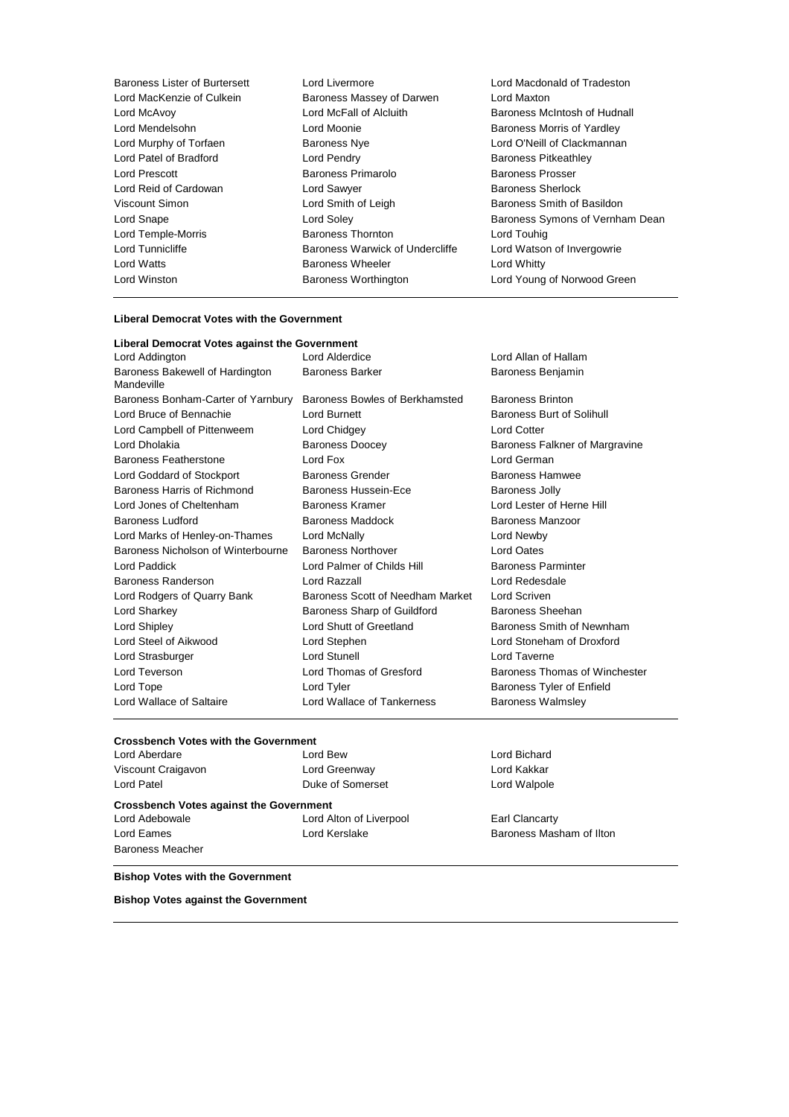| <b>Baroness Lister of Burtersett</b> | Lord Livermore                  | Lord Macdon         |
|--------------------------------------|---------------------------------|---------------------|
| Lord MacKenzie of Culkein            | Baroness Massey of Darwen       | Lord Maxton         |
| Lord McAvoy                          | Lord McFall of Alcluith         | <b>Baroness Mo</b>  |
| Lord Mendelsohn                      | Lord Moonie                     | <b>Baroness Mo</b>  |
| Lord Murphy of Torfaen               | <b>Baroness Nye</b>             | Lord O'Neill o      |
| Lord Patel of Bradford               | Lord Pendry                     | <b>Baroness Pit</b> |
| Lord Prescott                        | Baroness Primarolo              | Baroness Pro        |
| Lord Reid of Cardowan                | Lord Sawyer                     | <b>Baroness Sh</b>  |
| Viscount Simon                       | Lord Smith of Leigh             | <b>Baroness Sn</b>  |
| Lord Snape                           | Lord Soley                      | <b>Baroness Sy</b>  |
| Lord Temple-Morris                   | <b>Baroness Thornton</b>        | Lord Touhig         |
| Lord Tunnicliffe                     | Baroness Warwick of Undercliffe | Lord Watson         |
| Lord Watts                           | <b>Baroness Wheeler</b>         | Lord Whitty         |
| Lord Winston                         | Baroness Worthington            | Lord Young o        |
|                                      |                                 |                     |

### lacdonald of Tradeston<br>laxton ess McIntosh of Hudnall ess Morris of Yardley VNeill of Clackmannan ess Pitkeathley ess Prosser ess Sherlock ess Smith of Basildon ess Symons of Vernham Dean /atson of Invergowrie oung of Norwood Green

#### **Liberal Democrat Votes with the Government**

| Liberal Democrat Votes against the Government |                                        |                                |
|-----------------------------------------------|----------------------------------------|--------------------------------|
| Lord Addington                                | Lord Alderdice<br>Lord Allan of Hallam |                                |
| Baroness Bakewell of Hardington<br>Mandeville | <b>Baroness Barker</b>                 | Baroness Benjamin              |
| Baroness Bonham-Carter of Yarnbury            | Baroness Bowles of Berkhamsted         | <b>Baroness Brinton</b>        |
| Lord Bruce of Bennachie                       | Lord Burnett                           | Baroness Burt of Solihull      |
| Lord Campbell of Pittenweem                   | Lord Chidgey                           | <b>Lord Cotter</b>             |
| Lord Dholakia                                 | <b>Baroness Doocey</b>                 | Baroness Falkner of Margravine |
| Baroness Featherstone                         | Lord Fox                               | Lord German                    |
| Lord Goddard of Stockport                     | <b>Baroness Grender</b>                | Baroness Hamwee                |
| Baroness Harris of Richmond                   | Baroness Hussein-Ece                   | <b>Baroness Jolly</b>          |
| Lord Jones of Cheltenham                      | Baroness Kramer                        | Lord Lester of Herne Hill      |
| Baroness Ludford                              | Baroness Maddock                       | Baroness Manzoor               |
| Lord Marks of Henley-on-Thames                | Lord McNally                           | Lord Newby                     |
| Baroness Nicholson of Winterbourne            | <b>Baroness Northover</b>              | <b>Lord Oates</b>              |
| Lord Paddick                                  | Lord Palmer of Childs Hill             | <b>Baroness Parminter</b>      |
| Baroness Randerson                            | Lord Razzall                           | Lord Redesdale                 |
| Lord Rodgers of Quarry Bank                   | Baroness Scott of Needham Market       | Lord Scriven                   |
| Lord Sharkey                                  | Baroness Sharp of Guildford            | Baroness Sheehan               |
| Lord Shipley                                  | Lord Shutt of Greetland                | Baroness Smith of Newnham      |
| Lord Steel of Aikwood                         | Lord Stephen                           | Lord Stoneham of Droxford      |
| Lord Strasburger                              | <b>Lord Stunell</b>                    | Lord Taverne                   |
| Lord Teverson                                 | Lord Thomas of Gresford                | Baroness Thomas of Winchester  |
| Lord Tope                                     | Lord Tyler                             | Baroness Tyler of Enfield      |
| Lord Wallace of Saltaire                      | Lord Wallace of Tankerness             | <b>Baroness Walmsley</b>       |

#### **Crossbench Votes with the Government**

| Lord Aberdare                                  | Lord Bew                | Lord Bichard             |  |
|------------------------------------------------|-------------------------|--------------------------|--|
| Viscount Craigavon                             | Lord Greenway           | Lord Kakkar              |  |
| Lord Patel                                     | Duke of Somerset        | Lord Walpole             |  |
| <b>Crossbench Votes against the Government</b> |                         |                          |  |
| Lord Adebowale                                 | Lord Alton of Liverpool | Earl Clancarty           |  |
| Lord Eames                                     | Lord Kerslake           | Baroness Masham of Ilton |  |
| <b>Baroness Meacher</b>                        |                         |                          |  |

#### **Bishop Votes with the Government**

**Bishop Votes against the Government**